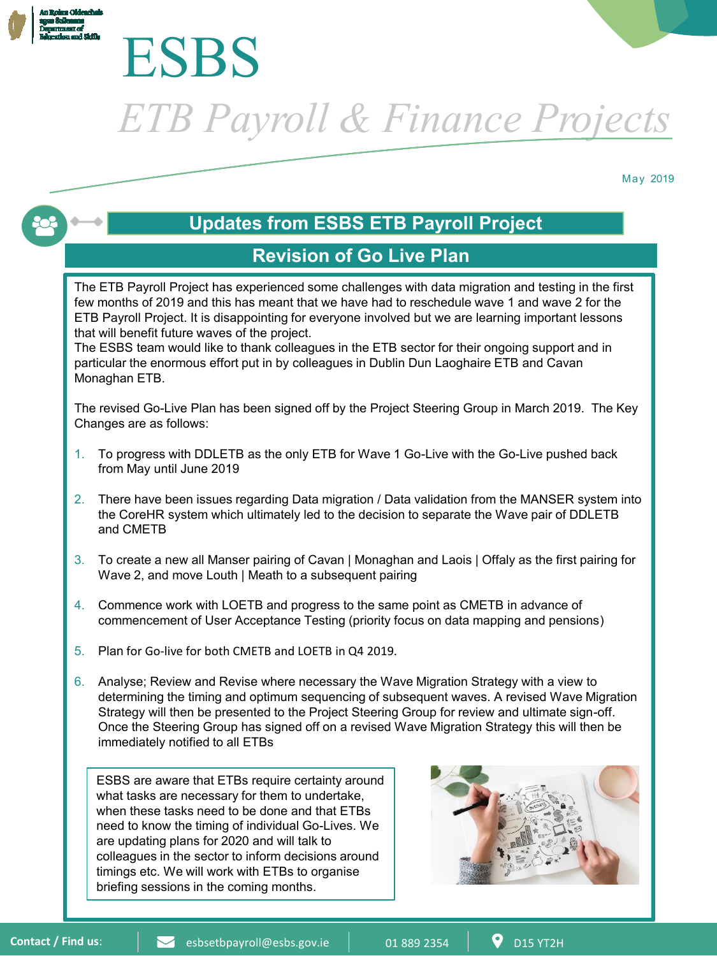



*ETB Payroll & Finance Projects*

May 2019

# **Updates from ESBS ETB Payroll Project**

## **Revision of Go Live Plan**

The ETB Payroll Project has experienced some challenges with data migration and testing in the first few months of 2019 and this has meant that we have had to reschedule wave 1 and wave 2 for the ETB Payroll Project. It is disappointing for everyone involved but we are learning important lessons that will benefit future waves of the project.

The ESBS team would like to thank colleagues in the ETB sector for their ongoing support and in particular the enormous effort put in by colleagues in Dublin Dun Laoghaire ETB and Cavan Monaghan ETB.

The revised Go-Live Plan has been signed off by the Project Steering Group in March 2019. The Key Changes are as follows:

- 1. To progress with DDLETB as the only ETB for Wave 1 Go-Live with the Go-Live pushed back from May until June 2019
- 2. There have been issues regarding Data migration / Data validation from the MANSER system into the CoreHR system which ultimately led to the decision to separate the Wave pair of DDLETB and CMETB
- 3. To create a new all Manser pairing of Cavan | Monaghan and Laois | Offaly as the first pairing for Wave 2, and move Louth | Meath to a subsequent pairing
- 4. Commence work with LOETB and progress to the same point as CMETB in advance of commencement of User Acceptance Testing (priority focus on data mapping and pensions)
- 5. Plan for Go-live for both CMETB and LOETB in Q4 2019.
- 6. Analyse; Review and Revise where necessary the Wave Migration Strategy with a view to determining the timing and optimum sequencing of subsequent waves. A revised Wave Migration Strategy will then be presented to the Project Steering Group for review and ultimate sign-off. Once the Steering Group has signed off on a revised Wave Migration Strategy this will then be immediately notified to all ETBs

ESBS are aware that ETBs require certainty around what tasks are necessary for them to undertake, when these tasks need to be done and that ETBs need to know the timing of individual Go-Lives. We are updating plans for 2020 and will talk to colleagues in the sector to inform decisions around timings etc. We will work with ETBs to organise briefing sessions in the coming months.

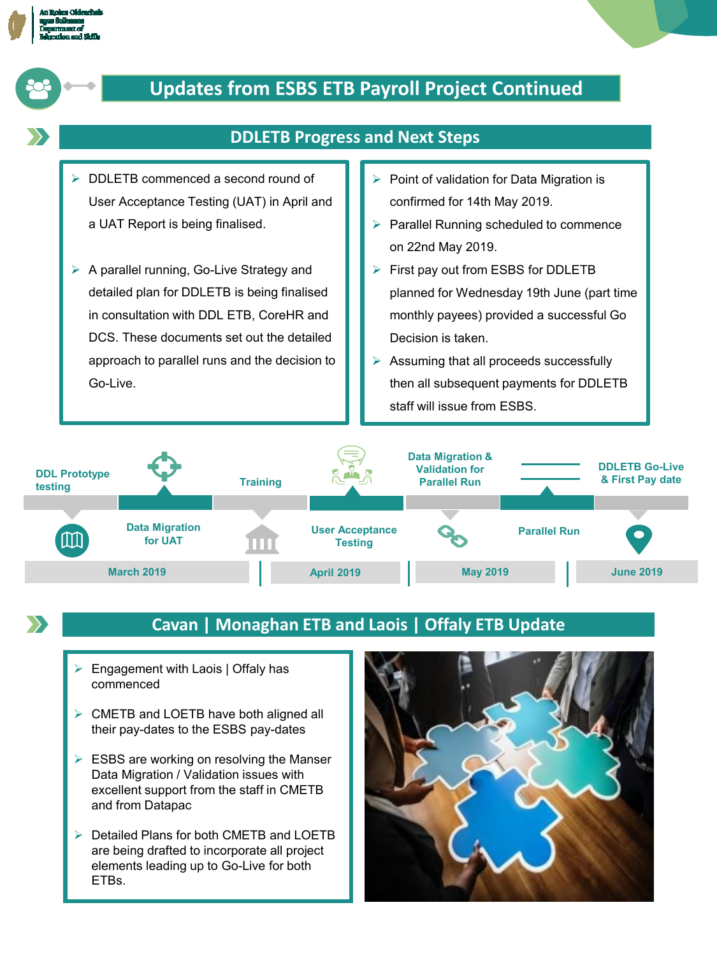





## **Cavan | Monaghan ETB and Laois | Offaly ETB Update**

- Engagement with Laois | Offaly has commenced
- CMETB and LOETB have both aligned all their pay-dates to the ESBS pay-dates
- $\triangleright$  ESBS are working on resolving the Manser Data Migration / Validation issues with excellent support from the staff in CMETB and from Datapac
- ▶ Detailed Plans for both CMETB and LOETB are being drafted to incorporate all project elements leading up to Go-Live for both ETBs.

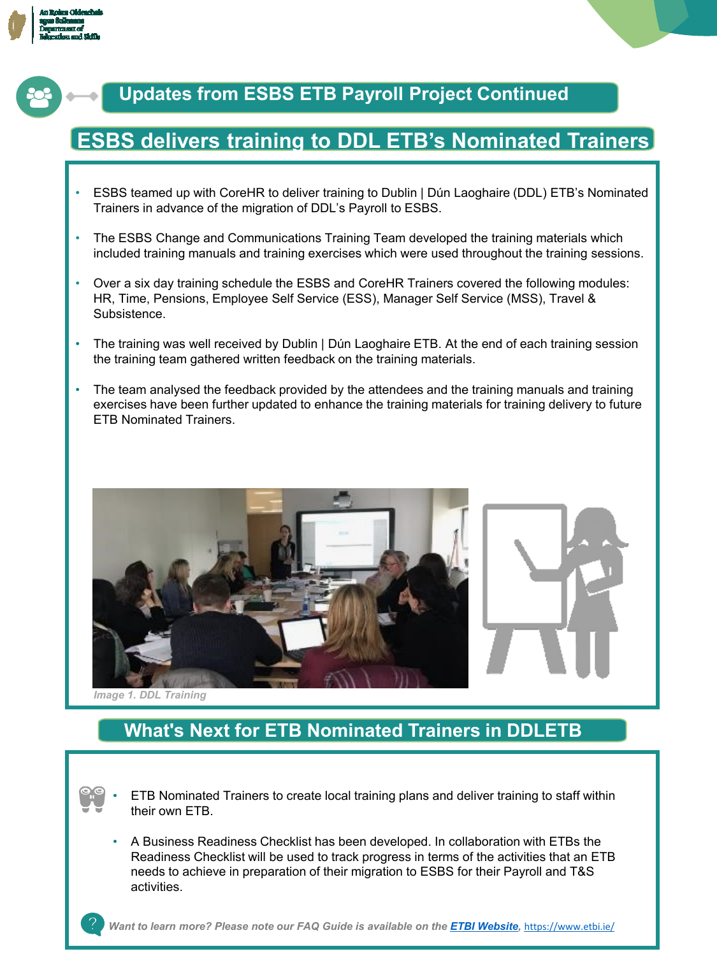



# **Updates from ESBS ETB Payroll Project Continued**

# **ESBS delivers training to DDL ETB's Nominated Trainers**

- ESBS teamed up with CoreHR to deliver training to Dublin | Dún Laoghaire (DDL) ETB's Nominated Trainers in advance of the migration of DDL's Payroll to ESBS.
- The ESBS Change and Communications Training Team developed the training materials which included training manuals and training exercises which were used throughout the training sessions.
- Over a six day training schedule the ESBS and CoreHR Trainers covered the following modules: HR, Time, Pensions, Employee Self Service (ESS), Manager Self Service (MSS), Travel & Subsistence.
- The training was well received by Dublin | Dún Laoghaire ETB. At the end of each training session the training team gathered written feedback on the training materials.
- The team analysed the feedback provided by the attendees and the training manuals and training exercises have been further updated to enhance the training materials for training delivery to future ETB Nominated Trainers.



*Image 1. DDL Training*

# **What's Next for ETB Nominated Trainers in DDLETB**

- ETB Nominated Trainers to create local training plans and deliver training to staff within their own ETB.
- A Business Readiness Checklist has been developed. In collaboration with ETBs the Readiness Checklist will be used to track progress in terms of the activities that an ETB needs to achieve in preparation of their migration to ESBS for their Payroll and T&S activities.

*Want to learn more? Please note our FAQ Guide is available on the [ETBI Website](https://www.etbi.ie/esbs-etb-payroll-project-faq-guides-dec-2108/),* <https://www.etbi.ie/>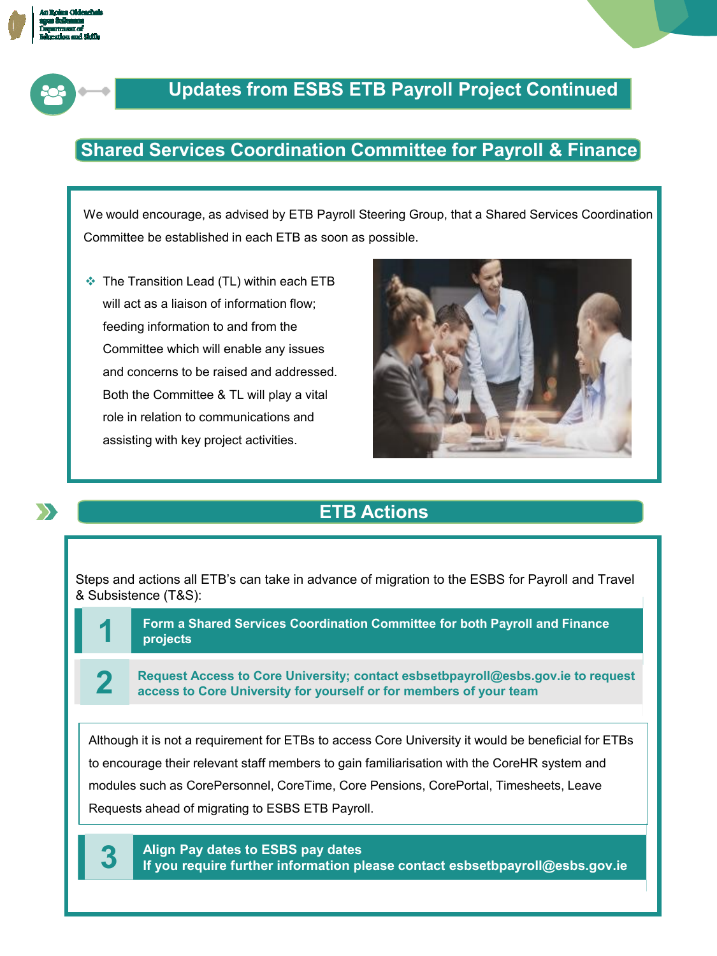



# **Updates from ESBS ETB Payroll Project Continued**

## **Shared Services Coordination Committee for Payroll & Finance**

We would encourage, as advised by ETB Payroll Steering Group, that a Shared Services Coordination Committee be established in each ETB as soon as possible.

The Transition Lead (TL) within each ETB will act as a liaison of information flow; feeding information to and from the Committee which will enable any issues and concerns to be raised and addressed. Both the Committee & TL will play a vital role in relation to communications and assisting with key project activities.



# **ETB Actions**

Steps and actions all ETB's can take in advance of migration to the ESBS for Payroll and Travel & Subsistence (T&S):

**Form a Shared Services Coordination Committee for both Payroll and Finance 1 projects**

**Request Access to Core University; contact esbsetbpayroll@esbs.gov.ie to request 2 access to Core University for yourself or for members of your team**

**Align Pay dates to ESBS pay dates** to encourage their relevant staff members to gain familiarisation with the CoreHR system and Although it is not a requirement for ETBs to access Core University it would be beneficial for ETBs modules such as CorePersonnel, CoreTime, Core Pensions, CorePortal, Timesheets, Leave Requests ahead of migrating to ESBS ETB Payroll.

**Align Pay dates to ESBS pay dates 3 If you require further information please contact esbsetbpayroll@esbs.gov.ie**